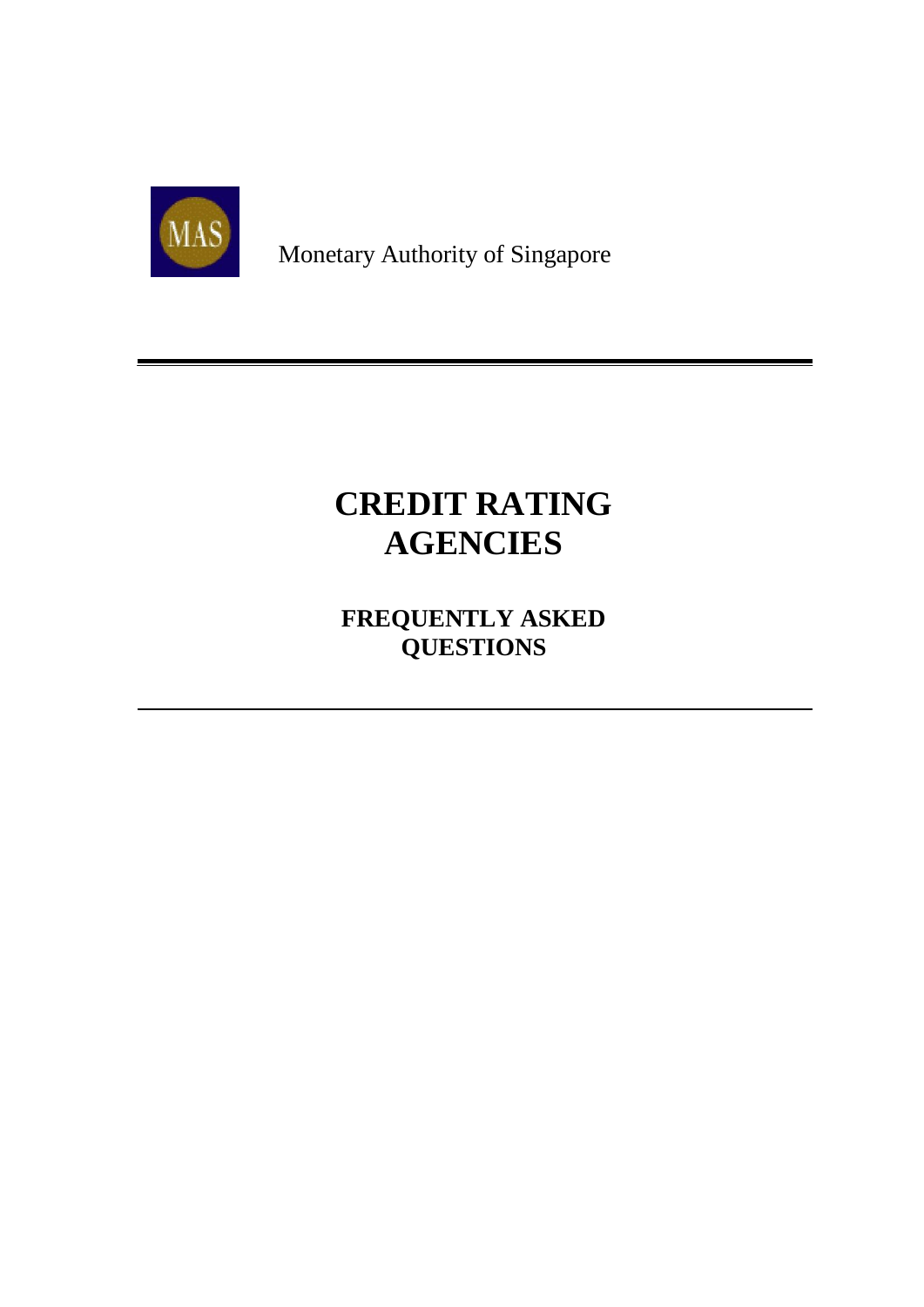

Monetary Authority of Singapore

# **CREDIT RATING AGENCIES**

**FREQUENTLY ASKED QUESTIONS**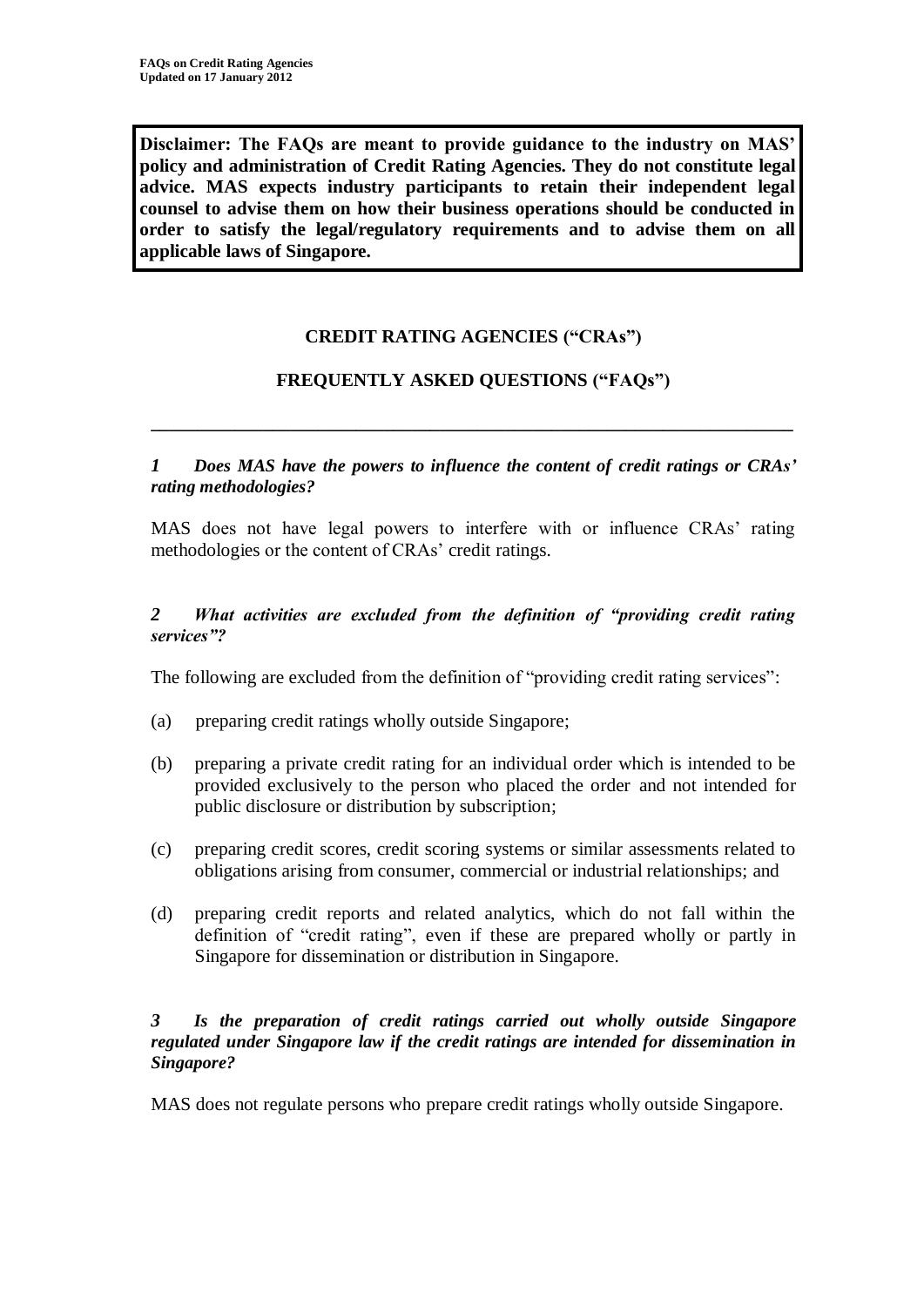**Disclaimer: The FAQs are meant to provide guidance to the industry on MAS' policy and administration of Credit Rating Agencies. They do not constitute legal advice. MAS expects industry participants to retain their independent legal counsel to advise them on how their business operations should be conducted in order to satisfy the legal/regulatory requirements and to advise them on all applicable laws of Singapore.**

# **CREDIT RATING AGENCIES ("CRAs")**

## **FREQUENTLY ASKED QUESTIONS ("FAQs")**

**\_\_\_\_\_\_\_\_\_\_\_\_\_\_\_\_\_\_\_\_\_\_\_\_\_\_\_\_\_\_\_\_\_\_\_\_\_\_\_\_\_\_\_\_\_\_\_\_\_\_\_\_\_\_\_\_\_\_\_\_\_\_\_\_\_\_\_\_\_**

*1 Does MAS have the powers to influence the content of credit ratings or CRAs' rating methodologies?*

MAS does not have legal powers to interfere with or influence CRAs' rating methodologies or the content of CRAs' credit ratings.

#### *2 What activities are excluded from the definition of "providing credit rating services"?*

The following are excluded from the definition of "providing credit rating services":

- (a) preparing credit ratings wholly outside Singapore;
- (b) preparing a private credit rating for an individual order which is intended to be provided exclusively to the person who placed the order and not intended for public disclosure or distribution by subscription;
- (c) preparing credit scores, credit scoring systems or similar assessments related to obligations arising from consumer, commercial or industrial relationships; and
- (d) preparing credit reports and related analytics, which do not fall within the definition of "credit rating", even if these are prepared wholly or partly in Singapore for dissemination or distribution in Singapore.

#### *3 Is the preparation of credit ratings carried out wholly outside Singapore regulated under Singapore law if the credit ratings are intended for dissemination in Singapore?*

MAS does not regulate persons who prepare credit ratings wholly outside Singapore.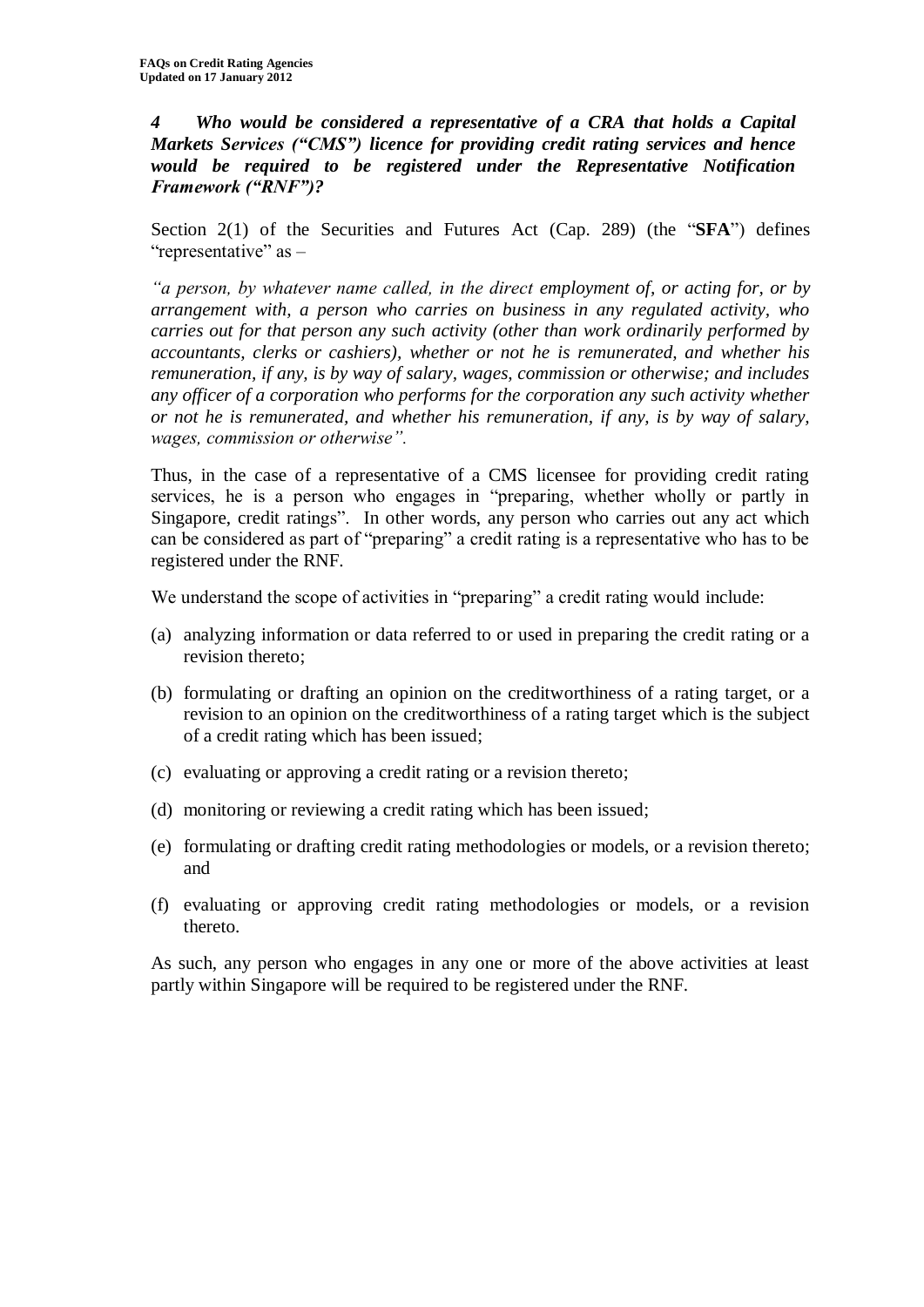*4 Who would be considered a representative of a CRA that holds a Capital Markets Services ("CMS") licence for providing credit rating services and hence would be required to be registered under the Representative Notification Framework ("RNF")?* 

Section 2(1) of the Securities and Futures Act (Cap. 289) (the "SFA") defines "representative" as –

*"a person, by whatever name called, in the direct employment of, or acting for, or by arrangement with, a person who carries on business in any regulated activity, who carries out for that person any such activity (other than work ordinarily performed by accountants, clerks or cashiers), whether or not he is remunerated, and whether his remuneration, if any, is by way of salary, wages, commission or otherwise; and includes any officer of a corporation who performs for the corporation any such activity whether or not he is remunerated, and whether his remuneration, if any, is by way of salary, wages, commission or otherwise".*

Thus, in the case of a representative of a CMS licensee for providing credit rating services, he is a person who engages in "preparing, whether wholly or partly in Singapore, credit ratings". In other words, any person who carries out any act which can be considered as part of "preparing" a credit rating is a representative who has to be registered under the RNF.

We understand the scope of activities in "preparing" a credit rating would include:

- (a) analyzing information or data referred to or used in preparing the credit rating or a revision thereto;
- (b) formulating or drafting an opinion on the creditworthiness of a rating target, or a revision to an opinion on the creditworthiness of a rating target which is the subject of a credit rating which has been issued;
- (c) evaluating or approving a credit rating or a revision thereto;
- (d) monitoring or reviewing a credit rating which has been issued;
- (e) formulating or drafting credit rating methodologies or models, or a revision thereto; and
- (f) evaluating or approving credit rating methodologies or models, or a revision thereto.

As such, any person who engages in any one or more of the above activities at least partly within Singapore will be required to be registered under the RNF.